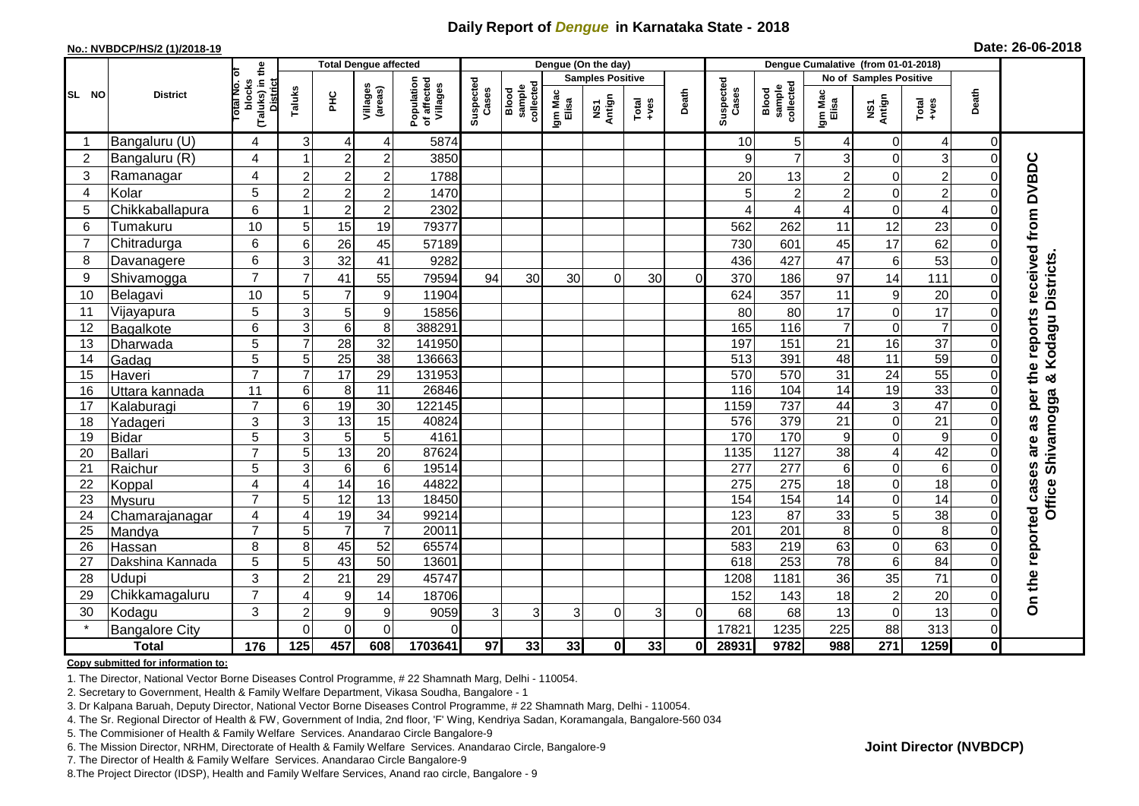## **Daily Report of** *Dengue* **in Karnataka State - 2018**

#### **No.: NVBDCP/HS/2 (1)/2018-19**

| Date: 26-06-2018 |  |  |  |
|------------------|--|--|--|
|------------------|--|--|--|

|                |                       |                                                              |                | <b>Total Dengue affected</b><br>Dengue (On the day) |                     |                                       |                    |                              |                  |                         |                                                                        |          |                    |                                     |                  |                        |                  |                |                                 |
|----------------|-----------------------|--------------------------------------------------------------|----------------|-----------------------------------------------------|---------------------|---------------------------------------|--------------------|------------------------------|------------------|-------------------------|------------------------------------------------------------------------|----------|--------------------|-------------------------------------|------------------|------------------------|------------------|----------------|---------------------------------|
|                |                       |                                                              |                |                                                     |                     |                                       |                    |                              |                  | <b>Samples Positive</b> |                                                                        |          |                    |                                     |                  | No of Samples Positive |                  |                |                                 |
| SL NO          | <b>District</b>       | (Taluks) in the<br>Total No. of<br>blocks<br><b>District</b> | Taluks         | ĔБ                                                  | Villages<br>(areas) | Population<br>of affected<br>Villages | Suspected<br>Cases | sample<br>collected<br>Blood | Igm Mac<br>Elisa | NS1<br>Antign           | $\begin{array}{c}\n\text{Total} \\ \text{1}-\text{total}\n\end{array}$ | Death    | Suspected<br>Cases | collected<br><b>Blood</b><br>sample | Igm Mac<br>Elisa | NS1<br>Antign          | $Tota$<br>$+ves$ | Death          |                                 |
|                | Bangaluru (U)         | 4                                                            | 3              | 4                                                   | 4                   | 5874                                  |                    |                              |                  |                         |                                                                        |          | 10                 | 5 <sup>1</sup>                      | 4                | $\mathbf 0$            | 4                | $\overline{0}$ |                                 |
| $\overline{2}$ | Bangaluru (R)         | 4                                                            |                | $\overline{2}$                                      | $\overline{c}$      | 3850                                  |                    |                              |                  |                         |                                                                        |          | q                  | $\overline{7}$                      | 3                | $\Omega$               | 3                | $\Omega$       |                                 |
| 3              | Ramanagar             | 4                                                            | $\overline{c}$ | $\mathbf 2$                                         | $\overline{c}$      | 1788                                  |                    |                              |                  |                         |                                                                        |          | 20                 | 13                                  | $\overline{2}$   | $\mathbf 0$            | $\overline{2}$   | 0              | the reports received from DVBDC |
| 4              | Kolar                 | 5                                                            | $\overline{c}$ | $\overline{2}$                                      | $\overline{2}$      | 1470                                  |                    |                              |                  |                         |                                                                        |          |                    | $\overline{c}$                      | $\overline{2}$   | $\mathbf 0$            | $\overline{2}$   | 0              |                                 |
| 5              | Chikkaballapura       | 6                                                            | -1             | $\boldsymbol{2}$                                    | $\overline{c}$      | 2302                                  |                    |                              |                  |                         |                                                                        |          |                    | 4                                   | 4                | 0                      | $\overline{4}$   | 0              |                                 |
| 6              | Tumakuru              | 10                                                           | 5              | 15                                                  | 19                  | 79377                                 |                    |                              |                  |                         |                                                                        |          | 562                | 262                                 | 11               | 12                     | 23               | 0              |                                 |
| $\overline{7}$ | Chitradurga           | 6                                                            | 6              | 26                                                  | 45                  | 57189                                 |                    |                              |                  |                         |                                                                        |          | 730                | 601                                 | 45               | $\overline{17}$        | 62               | O              |                                 |
| 8              | Davanagere            | 6                                                            | 3              | $\overline{32}$                                     | 41                  | 9282                                  |                    |                              |                  |                         |                                                                        |          | 436                | 427                                 | 47               | $\,6$                  | 53               | 0              |                                 |
| 9              | Shivamogga            | $\overline{7}$                                               | $\overline{7}$ | 41                                                  | 55                  | 79594                                 | 94                 | 30                           | 30               | $\Omega$                | 30                                                                     | $\Omega$ | 370                | 186                                 | 97               | 14                     | 111              | $\Omega$       | Kodagu Districts                |
| 10             | Belagavi              | 10                                                           | 5              | $\overline{7}$                                      | 9                   | 11904                                 |                    |                              |                  |                         |                                                                        |          | 624                | 357                                 | 11               | $\boldsymbol{9}$       | 20               | $\Omega$       |                                 |
| 11             | Vijayapura            | 5                                                            | 3              | 5                                                   | 9                   | 15856                                 |                    |                              |                  |                         |                                                                        |          | 80                 | 80                                  | 17               | $\mathbf 0$            | 17               | $\Omega$       |                                 |
| 12             | Bagalkote             | 6                                                            | $\mathbf{3}$   | $\overline{6}$                                      | 8                   | 388291                                |                    |                              |                  |                         |                                                                        |          | 165                | 116                                 | $\overline{7}$   | $\mathbf 0$            | $\overline{7}$   | 0              |                                 |
| 13             | Dharwada              | 5                                                            | $\overline{7}$ | $\overline{28}$                                     | $\overline{32}$     | 141950                                |                    |                              |                  |                         |                                                                        |          | 197                | 151                                 | 21               | 16                     | $\overline{37}$  | 0              |                                 |
| 14             | Gadag                 | $\overline{5}$                                               | 5              | 25                                                  | $\overline{38}$     | 136663                                |                    |                              |                  |                         |                                                                        |          | 513                | 391                                 | 48               | 11                     | 59               |                |                                 |
| 15             | Haveri                | $\overline{7}$                                               | $\overline{7}$ | 17                                                  | 29                  | 131953                                |                    |                              |                  |                         |                                                                        |          | 570                | 570                                 | 31               | 24                     | 55               |                | න්                              |
| 16             | Uttara kannada        | 11                                                           | 6              | 8                                                   | $\overline{11}$     | 26846                                 |                    |                              |                  |                         |                                                                        |          | 116                | 104                                 | $\overline{14}$  | 19                     | 33               |                |                                 |
| 17             | Kalaburagi            | $\overline{7}$                                               | 6              | 19                                                  | 30                  | 122145                                |                    |                              |                  |                         |                                                                        |          | 1159               | 737                                 | 44               | $\mathbf{3}$           | 47               | 0              | Shivamogga<br>per               |
| 18             | Yadageri              | 3                                                            | 3              | 13                                                  | $\overline{15}$     | 40824                                 |                    |                              |                  |                         |                                                                        |          | 576                | 379                                 | 21               | $\mathbf 0$            | 21               |                | as                              |
| 19             | <b>Bidar</b>          | 5                                                            | 3              | $\overline{5}$                                      | 5                   | 4161                                  |                    |                              |                  |                         |                                                                        |          | 170                | 170                                 | 9                | $\pmb{0}$              | $\boldsymbol{9}$ |                | are                             |
| 20             | <b>Ballari</b>        | $\overline{7}$                                               | 5              | 13                                                  | $\overline{20}$     | 87624                                 |                    |                              |                  |                         |                                                                        |          | 1135               | 1127                                | 38               | $\overline{4}$         | 42               | O              |                                 |
| 21             | Raichur               | 5                                                            | 3              | 6                                                   | 6                   | 19514                                 |                    |                              |                  |                         |                                                                        |          | 277                | 277                                 | 6                | $\boldsymbol{0}$       | 6                | 0              |                                 |
| 22             | Koppal                | 4                                                            | $\overline{4}$ | 14                                                  | 16                  | 44822                                 |                    |                              |                  |                         |                                                                        |          | 275                | 275                                 | 18               | $\mathbf 0$            | $\overline{18}$  | $\Omega$       | Office                          |
| 23             | Mysuru                | $\overline{7}$                                               | 5              | 12                                                  | 13                  | 18450                                 |                    |                              |                  |                         |                                                                        |          | 154                | 154                                 | $\overline{14}$  | $\mathbf 0$            | 14               | $\Omega$       |                                 |
| 24             | Chamarajanagar        | 4                                                            | $\overline{4}$ | 19                                                  | $\overline{34}$     | 99214                                 |                    |                              |                  |                         |                                                                        |          | 123                | $\overline{87}$                     | 33               | 5                      | 38               | $\Omega$       |                                 |
| 25             | Mandya                | $\overline{7}$                                               | 5              | $\overline{7}$                                      | $\overline{7}$      | 20011                                 |                    |                              |                  |                         |                                                                        |          | $\overline{201}$   | $\overline{201}$                    | 8                | $\mathbf 0$            | 8                | $\Omega$       |                                 |
| 26             | Hassan                | 8                                                            | 8              | 45                                                  | 52                  | 65574                                 |                    |                              |                  |                         |                                                                        |          | 583                | 219                                 | 63               | $\mathbf 0$            | 63               | 0              |                                 |
| 27             | Dakshina Kannada      | 5                                                            | 5              | 43                                                  | 50                  | 13601                                 |                    |                              |                  |                         |                                                                        |          | 618                | 253                                 | 78               | $\overline{6}$         | 84               | $\Omega$       |                                 |
| 28             | Udupi                 | 3                                                            | $\overline{2}$ | 21                                                  | 29                  | 45747                                 |                    |                              |                  |                         |                                                                        |          | 1208               | 1181                                | 36               | 35                     | $\overline{71}$  | 0              |                                 |
| 29             | Chikkamagaluru        | $\overline{7}$                                               | $\overline{4}$ | 9                                                   | 14                  | 18706                                 |                    |                              |                  |                         |                                                                        |          | 152                | 143                                 | 18               | $\overline{2}$         | 20               | 0              | On the reported cases           |
| 30             | Kodagu                | 3                                                            | $\overline{c}$ | 9                                                   | 9                   | 9059                                  | 3                  | 3                            | 3                | 0                       | 3                                                                      | 0        | 68                 | 68                                  | 13               | $\mathbf 0$            | 13               | 0              |                                 |
|                | <b>Bangalore City</b> |                                                              | $\Omega$       | $\overline{0}$                                      | $\overline{0}$      | $\Omega$                              |                    |                              |                  |                         |                                                                        |          | 17821              | 1235                                | 225              | 88                     | 313              | $\overline{0}$ |                                 |
|                | <b>Total</b>          | $\frac{1}{176}$                                              | 125            | 457                                                 | 608                 | 1703641                               | $\overline{97}$    | 33                           | 33               | $\mathbf{0}$            | 33                                                                     | 0I       | 28931              | 9782                                | 988              | $\overline{271}$       | 1259             | 0              |                                 |

#### **Copy submitted for information to:**

1. The Director, National Vector Borne Diseases Control Programme, # 22 Shamnath Marg, Delhi - 110054.

2. Secretary to Government, Health & Family Welfare Department, Vikasa Soudha, Bangalore - 1

3. Dr Kalpana Baruah, Deputy Director, National Vector Borne Diseases Control Programme, # 22 Shamnath Marg, Delhi - 110054.

- 4. The Sr. Regional Director of Health & FW, Government of India, 2nd floor, 'F' Wing, Kendriya Sadan, Koramangala, Bangalore-560 034
- 5. The Commisioner of Health & Family Welfare Services. Anandarao Circle Bangalore-9
- 6. The Mission Director, NRHM, Directorate of Health & Family Welfare Services. Anandarao Circle, Bangalore-9

7. The Director of Health & Family Welfare Services. Anandarao Circle Bangalore-9

8.The Project Director (IDSP), Health and Family Welfare Services, Anand rao circle, Bangalore - 9